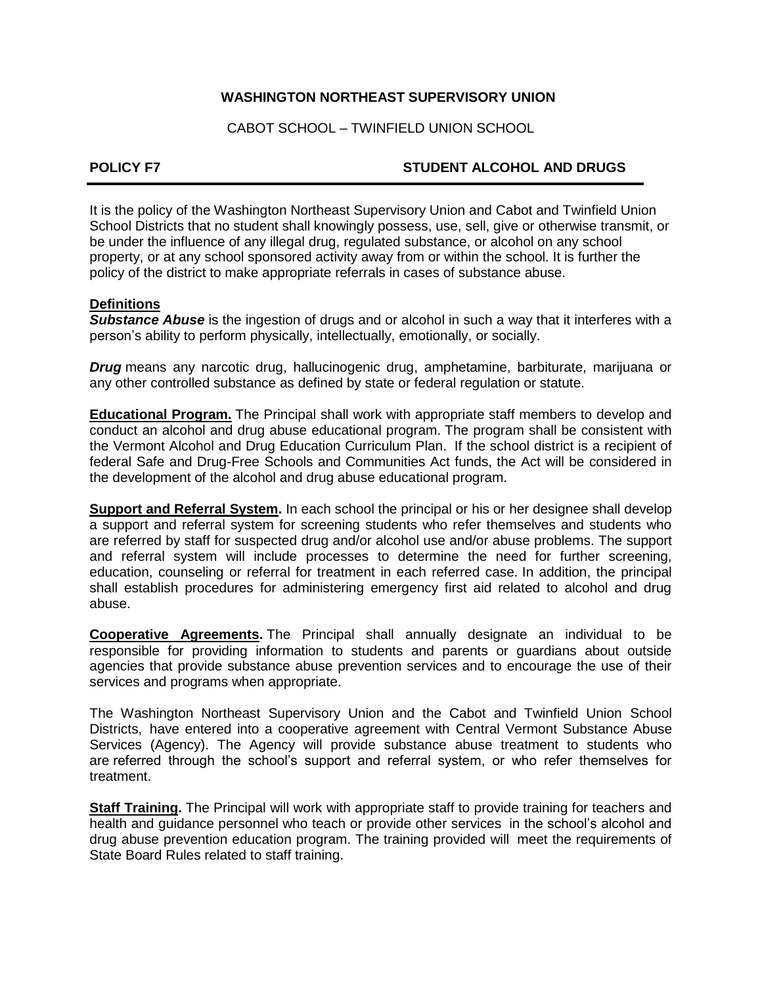## **WASHINGTON NORTHEAST SUPERVISORY UNION**

CABOT SCHOOL – TWINFIELD UNION SCHOOL

## **POLICY F7 STUDENT ALCOHOL AND DRUGS**

It is the policy of the Washington Northeast Supervisory Union and Cabot and Twinfield Union School Districts that no student shall knowingly possess, use, sell, give or otherwise transmit, or be under the influence of any illegal drug, regulated substance, or alcohol on any school property, or at any school sponsored activity away from or within the school. It is further the policy of the district to make appropriate referrals in cases of substance abuse.

## **Definitions**

*Substance Abuse* is the ingestion of drugs and or alcohol in such a way that it interferes with a person's ability to perform physically, intellectually, emotionally, or socially.

*Drug* means any narcotic drug, hallucinogenic drug, amphetamine, barbiturate, marijuana or any other controlled substance as defined by state or federal regulation or statute.

**Educational Program.** The Principal shall work with appropriate staff members to develop and conduct an alcohol and drug abuse educational program. The program shall be consistent with the Vermont Alcohol and Drug Education Curriculum Plan. If the school district is a recipient of federal Safe and Drug-Free Schools and Communities Act funds, the Act will be considered in the development of the alcohol and drug abuse educational program.

**Support and Referral System.** In each school the principal or his or her designee shall develop a support and referral system for screening students who refer themselves and students who are referred by staff for suspected drug and/or alcohol use and/or abuse problems. The support and referral system will include processes to determine the need for further screening, education, counseling or referral for treatment in each referred case. In addition, the principal shall establish procedures for administering emergency first aid related to alcohol and drug abuse.

**Cooperative Agreements.** The Principal shall annually designate an individual to be responsible for providing information to students and parents or guardians about outside agencies that provide substance abuse prevention services and to encourage the use of their services and programs when appropriate.

The Washington Northeast Supervisory Union and the Cabot and Twinfield Union School Districts, have entered into a cooperative agreement with Central Vermont Substance Abuse Services (Agency). The Agency will provide substance abuse treatment to students who are referred through the school's support and referral system, or who refer themselves for treatment.

**Staff Training.** The Principal will work with appropriate staff to provide training for teachers and health and guidance personnel who teach or provide other services in the school's alcohol and drug abuse prevention education program. The training provided will meet the requirements of State Board Rules related to staff training.